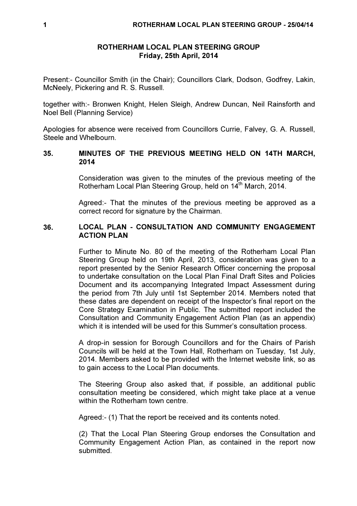## ROTHERHAM LOCAL PLAN STEERING GROUP Friday, 25th April, 2014

Present:- Councillor Smith (in the Chair); Councillors Clark, Dodson, Godfrey, Lakin, McNeely, Pickering and R. S. Russell.

together with:- Bronwen Knight, Helen Sleigh, Andrew Duncan, Neil Rainsforth and Noel Bell (Planning Service)

Apologies for absence were received from Councillors Currie, Falvey, G. A. Russell, Steele and Whelbourn.

## 35. MINUTES OF THE PREVIOUS MEETING HELD ON 14TH MARCH, 2014

Consideration was given to the minutes of the previous meeting of the Rotherham Local Plan Steering Group, held on 14<sup>th</sup> March, 2014.

Agreed:- That the minutes of the previous meeting be approved as a correct record for signature by the Chairman.

# 36. LOCAL PLAN - CONSULTATION AND COMMUNITY ENGAGEMENT ACTION PLAN

Further to Minute No. 80 of the meeting of the Rotherham Local Plan Steering Group held on 19th April, 2013, consideration was given to a report presented by the Senior Research Officer concerning the proposal to undertake consultation on the Local Plan Final Draft Sites and Policies Document and its accompanying Integrated Impact Assessment during the period from 7th July until 1st September 2014. Members noted that these dates are dependent on receipt of the Inspector's final report on the Core Strategy Examination in Public. The submitted report included the Consultation and Community Engagement Action Plan (as an appendix) which it is intended will be used for this Summer's consultation process.

A drop-in session for Borough Councillors and for the Chairs of Parish Councils will be held at the Town Hall, Rotherham on Tuesday, 1st July, 2014. Members asked to be provided with the Internet website link, so as to gain access to the Local Plan documents.

The Steering Group also asked that, if possible, an additional public consultation meeting be considered, which might take place at a venue within the Rotherham town centre

Agreed:- (1) That the report be received and its contents noted.

(2) That the Local Plan Steering Group endorses the Consultation and Community Engagement Action Plan, as contained in the report now submitted.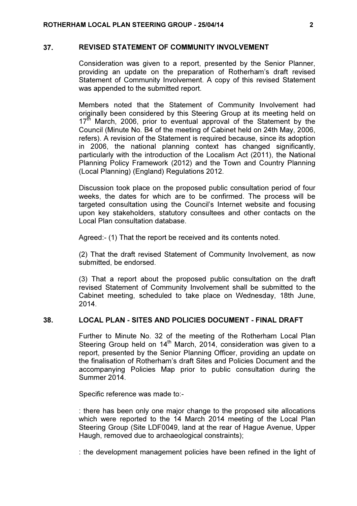#### 37. REVISED STATEMENT OF COMMUNITY INVOLVEMENT

Consideration was given to a report, presented by the Senior Planner, providing an update on the preparation of Rotherham's draft revised Statement of Community Involvement. A copy of this revised Statement was appended to the submitted report.

Members noted that the Statement of Community Involvement had originally been considered by this Steering Group at its meeting held on  $17<sup>th</sup>$  March, 2006, prior to eventual approval of the Statement by the Council (Minute No. B4 of the meeting of Cabinet held on 24th May, 2006, refers). A revision of the Statement is required because, since its adoption in 2006, the national planning context has changed significantly, particularly with the introduction of the Localism Act (2011), the National Planning Policy Framework (2012) and the Town and Country Planning (Local Planning) (England) Regulations 2012.

Discussion took place on the proposed public consultation period of four weeks, the dates for which are to be confirmed. The process will be targeted consultation using the Council's Internet website and focusing upon key stakeholders, statutory consultees and other contacts on the Local Plan consultation database.

Agreed:- (1) That the report be received and its contents noted.

(2) That the draft revised Statement of Community Involvement, as now submitted, be endorsed.

(3) That a report about the proposed public consultation on the draft revised Statement of Community Involvement shall be submitted to the Cabinet meeting, scheduled to take place on Wednesday, 18th June, 2014.

# 38. LOCAL PLAN - SITES AND POLICIES DOCUMENT - FINAL DRAFT

Further to Minute No. 32 of the meeting of the Rotherham Local Plan Steering Group held on  $14<sup>th</sup>$  March, 2014, consideration was given to a report, presented by the Senior Planning Officer, providing an update on the finalisation of Rotherham's draft Sites and Policies Document and the accompanying Policies Map prior to public consultation during the Summer 2014.

Specific reference was made to:-

: there has been only one major change to the proposed site allocations which were reported to the 14 March 2014 meeting of the Local Plan Steering Group (Site LDF0049, land at the rear of Hague Avenue, Upper Haugh, removed due to archaeological constraints);

: the development management policies have been refined in the light of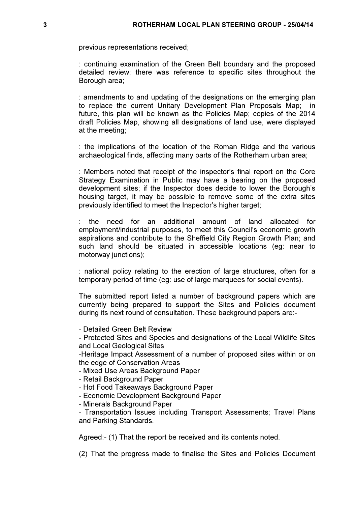previous representations received;

: continuing examination of the Green Belt boundary and the proposed detailed review; there was reference to specific sites throughout the Borough area;

: amendments to and updating of the designations on the emerging plan to replace the current Unitary Development Plan Proposals Map; in future, this plan will be known as the Policies Map; copies of the 2014 draft Policies Map, showing all designations of land use, were displayed at the meeting;

: the implications of the location of the Roman Ridge and the various archaeological finds, affecting many parts of the Rotherham urban area;

: Members noted that receipt of the inspector's final report on the Core Strategy Examination in Public may have a bearing on the proposed development sites; if the Inspector does decide to lower the Borough's housing target, it may be possible to remove some of the extra sites previously identified to meet the Inspector's higher target;

: the need for an additional amount of land allocated for employment/industrial purposes, to meet this Council's economic growth aspirations and contribute to the Sheffield City Region Growth Plan; and such land should be situated in accessible locations (eg: near to motorway junctions);

: national policy relating to the erection of large structures, often for a temporary period of time (eg: use of large marquees for social events).

The submitted report listed a number of background papers which are currently being prepared to support the Sites and Policies document during its next round of consultation. These background papers are:-

- Detailed Green Belt Review

- Protected Sites and Species and designations of the Local Wildlife Sites and Local Geological Sites

-Heritage Impact Assessment of a number of proposed sites within or on the edge of Conservation Areas

- Mixed Use Areas Background Paper

- Retail Background Paper
- Hot Food Takeaways Background Paper
- Economic Development Background Paper
- Minerals Background Paper

- Transportation Issues including Transport Assessments; Travel Plans and Parking Standards.

Agreed:- (1) That the report be received and its contents noted.

(2) That the progress made to finalise the Sites and Policies Document